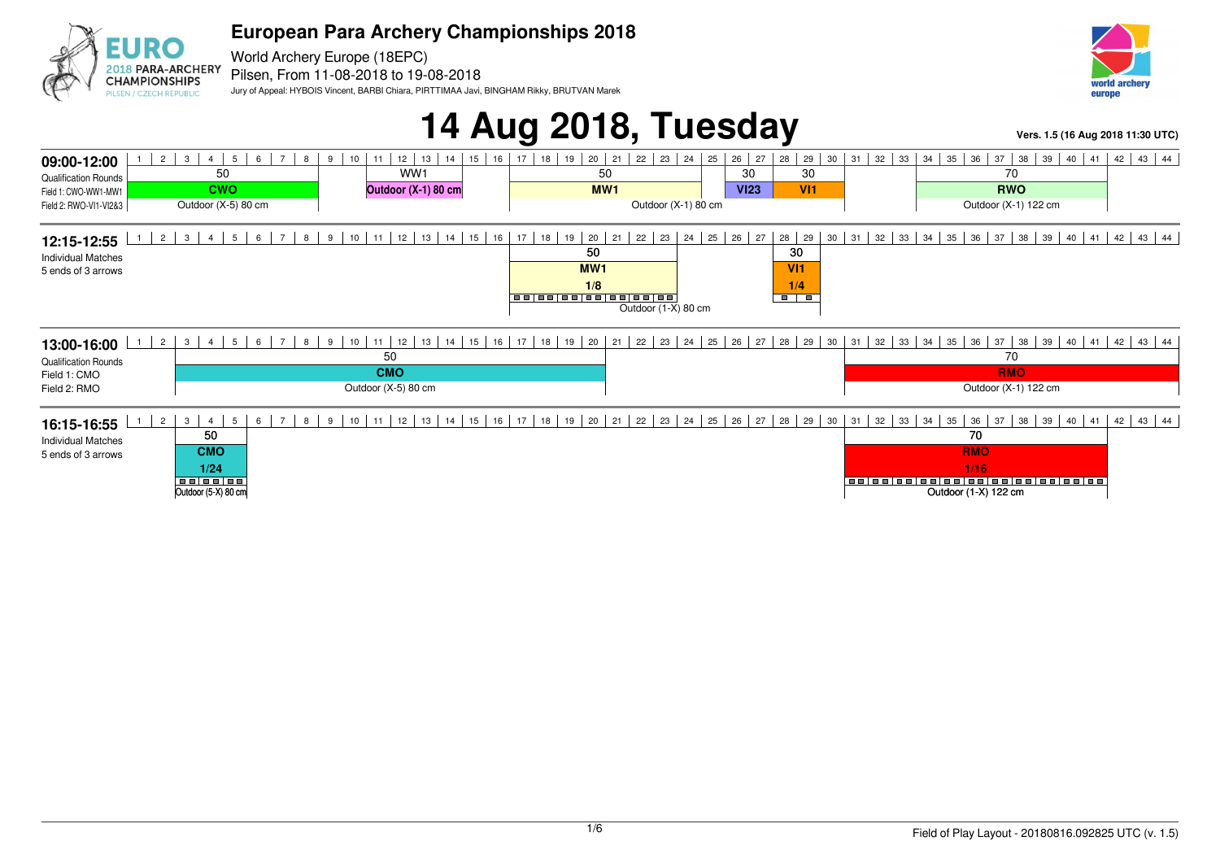

World Archery Europe (18EPC) 2018 PARA-ARCHERY Pilsen, From 11-08-2018 to 19-08-2018 Jury of Appeal: HYBOIS Vincent, BARBI Chiara, PIRTTIMAA Javi, BINGHAM Rikky, BRUTVAN Marek

**CHAMPIONSHIPS** 

PILSEN / CZECH REPUBLIC



# **14 Aug 2018, Tuesday Vers. 1.5 (16 Aug 2018 11:30 UTC)**

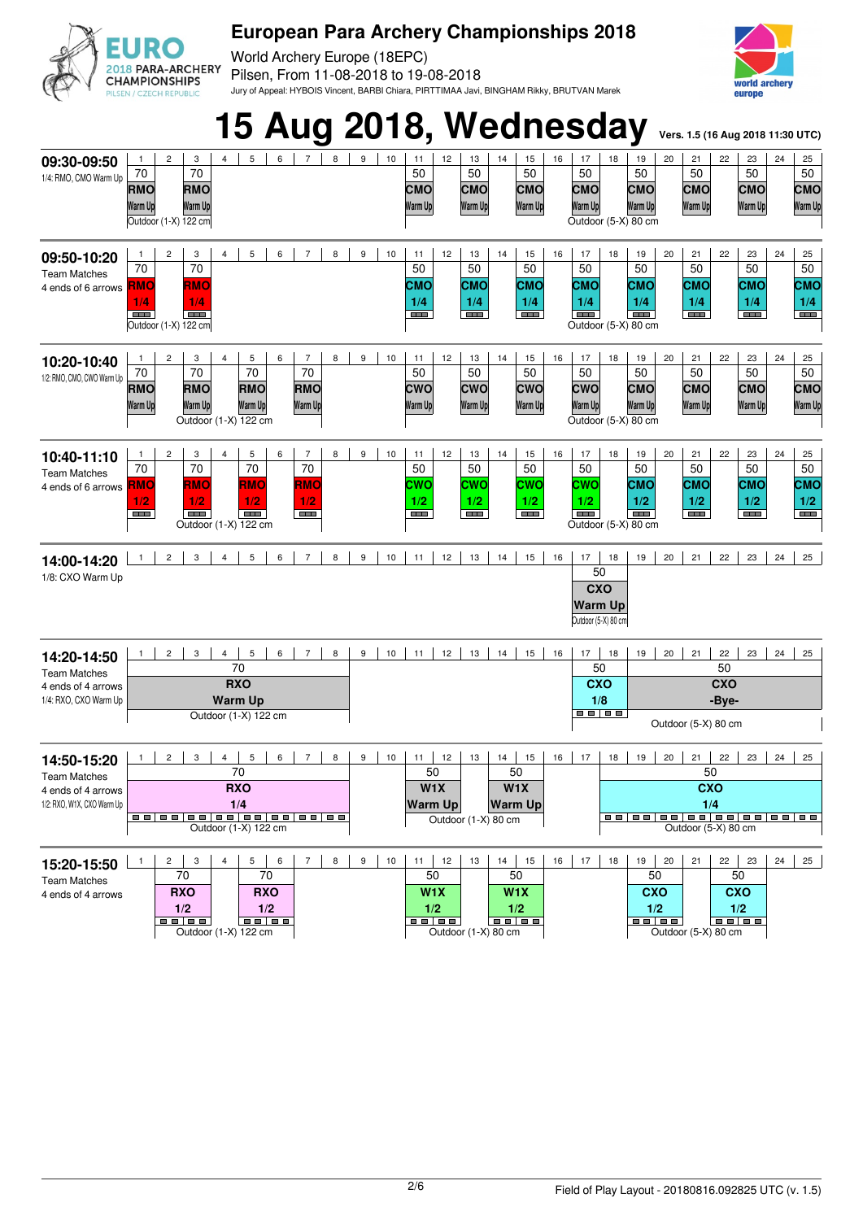

World Archery Europe (18EPC) Pilsen, From 11-08-2018 to 19-08-2018 Jury of Appeal: HYBOIS Vincent, BARBI Chiara, PIRTTIMAA Javi, BINGHAM Rikky, BRUTVAN Marek



#### **15 Aug 2018, Wednesday** Vers. 1.5 (16 Aug 2018 11:30 UTC)  $3 \mid 4 \mid 5 \mid 6 \mid 7 \mid 8 \mid 9 \mid 10 \mid 11 \mid 12 \mid 13 \mid 14 \mid 15 \mid 16 \mid 17 \mid 18 \mid 19 \mid 20 \mid 21 \mid 22 \mid 23 \mid 24 \mid 25$ **09:30-09:50** 50  $\overline{70}$  $\overline{70}$  $50$  $50$  $50$  $\overline{50}$  $\overline{50}$ 50 50 1/4: RMO, CMO Warm Up **RMO CMO CMO CMO RMO CMO CMO CMO CMO CMO Warm Up Warm Up Warm Up Warm Up Warm Up Warm Up Warm Up Warm Up Warm Up Warm Up** Outdoor (1-X) 122 cm Outdoor (5-X) 80 cm **09:50-10:20** 1 2 3 4 5 6 7 8 9 10 11 12 13 14 15 16 17 22 23 24 25 70 70 50 50 50 50 50 50 50 50 Team Matches **CMO RMO RMO CMO CMO CMO CMO CMO CMO CMO** 4 ends of 6 arrows **1/4 1/4 1/4 1/4 1/4 1/4 1/4 1/4 1/4 1/4 TELESCOPE TELE The Company** Outdoor (1-X) 122 cm Outdoor (5-X) 80 cm **10:20-10:40** 1 2 3 4 5 6 7 8 9 10 11 12 13 14 15 16 17 22 23 24 25 50 70 70 70 70 50 50 50 50 50 50 50 1/2: RMO, CMO, CWO Warm Up **CWO CWO RMO RMO CWO CWO CMO CMO CMO RMO RMO CMO Warm Up Warm Up Warm Up Warm Up Warm Up Warm Up Warm Up Warm Up Warm Up Warm Up Warm Up Warm Up** Outdoor (1-X) 122 cm Outdoor (5-X) 80 cm 1 2 3 4 5 6 7 8 9 10 11 12 13 14 15 16 17 18 19 20 21 22 23 24 25 **10:40-11:10** 70 70 70 70 50 50 50 50 50 50 50 50 Team Matches **RMO RMO RMO CWC CWO CWO CWO CMO CMO CMO CMO RMO** 4 ends of 6 arrows **1/2 1/2 1/2 1/2 1/2 1/2 1/2 1/2 1/2 1/2 1/2 1/2** Outdoor (1-X) 122 cm Outdoor (5-X) 80 cm **14:00-14:20** <u>1 2 3</u> 4 5 6 7 8 9 10 11 12 13 14 15 16 17 18 19 20 21 22 23 24 25 50 1/8: CXO Warm Up **CXO Warm Up** Outdoor (5-X) 80 cm 1 2 3 4 5 6 7 8 9 10 11 12 13 14 15 16 17 18 19 20 21 22 23 24 25 **14:20-14:50** 50 50 70 Team Matches **RXO CXO CXO** 4 ends of 4 arrows **Warm Up** 1/4: RXO, CXO Warm Up **1/8 -Bye-**Outdoor (1-X) 122 cm Outdoor (5-X) 80 cm **14:50-15:20** 1 | 2 | 3 | 4 | 5 | 6 | 7 | 8 | 9 | 10 | 11 | 12 | 13 | 14 | 15 | 16 | 17 | 18 | 19 | 20 | 21 | 22 | 23 | 24 | 25 70 50 50 50 Team Matches **RXO W1X W1X CXO** 4 ends of 4 arrows 1/2: RXO, W1X, CXO Warm Up **1/4 Warm Up Warm Up 1/4** Outdoor (1-X) 80 cm Outdoor (1-X) 122 cm Outdoor (5-X) 80 cm 2 3 4 5 6 7 8 9 10 11 12 13 14 15 16 17 18 19 20 21 22 23 24 25 **15:20-15:50** 70 70 50 50 50 50 Team Matches **W1X W1X CXO** 4 ends of 4 arrows **RXO RXO CXO 1/2 1/2 1/2 1/2 1/2 1/2** Outdoor (1-X) 122 cm Outdoor (1-X) 80 cm Outdoor (5-X) 80 cm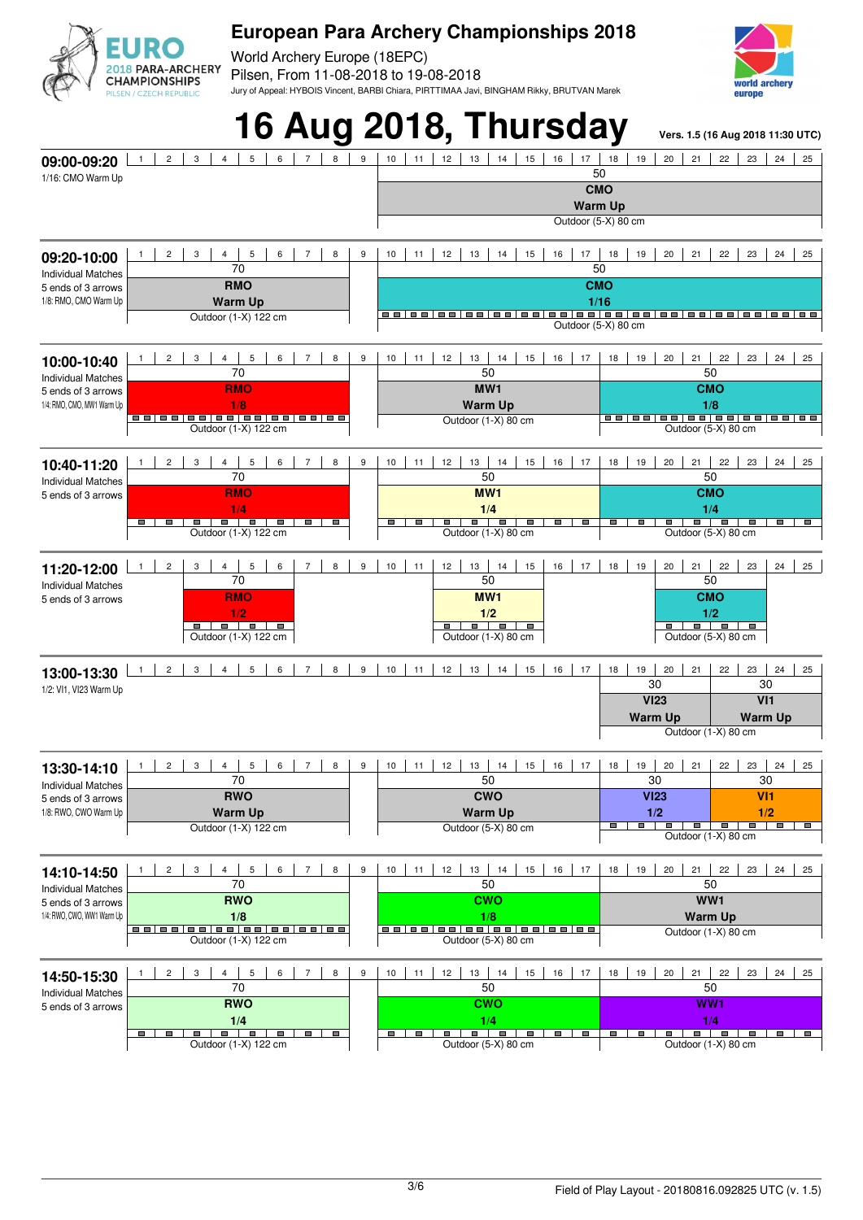

World Archery Europe (18EPC) Pilsen, From 11-08-2018 to 19-08-2018 Jury of Appeal: HYBOIS Vincent, BARBI Chiara, PIRTTIMAA Javi, BINGHAM Rikky, BRUTVAN Marek



### **16 Aug 2018, Thursday Vers. 1.5 (16 Aug 2018 11:30 UTC)** 2 3 4 5 6 7 8 9 10 11 12 13 14 15 16 17 18 19 20 21 22 23 24 25 **09:00-09:20**  $50$ 1/16: CMO Warm Up **CMO Warm Up** Outdoor (5-X) 80 cm 1 2 3 4 5 6 7 8 9 10 11 12 13 14 15 16 17 18 19 20 21 22 23 24 25 **09:20-10:00**  $70$ 50 Individual Matches **RMO CMO** 5 ends of 3 arrows 1/8: RMO, CMO Warm Up **Warm Up 1/16** Outdoor (1-X) 122 cm Outdoor (5-X) 80 cm 2 3 4 5 6 7 8 9 10 11 12 13 14 15 16 17 18 19 20 21 22 23 24 25 **10:00-10:40** 70 50 50 Individual Matches **RMO MW1 CMO** 5 ends of 3 arrows 1/4: RMO, CMO, MW1 Warm Un **1/8 Warm Up 1/8** Outdoor (1-X) 80 cm Outdoor (1-X) 122 cm Outdoor (5-X) 80 cm 2 | 3 | 4 | 5 | 6 | 7 | 8 | 9 | 10 | 11 | 12 | 13 | 14 | 15 | 16 | 17 | 18 | 19 | 20 | 21 | 22 | 23 | 24 | 25 **10:40-11:20** 70 50 50 Individual Matches **MW1 CMO RMO** 5 ends of 3 arrows **1/4**<br> **a | a | a | a | a | a | a | a | a | a | a | a 0utdoor** (1-X) 122 cm **1/4 1/4** <u>on a register of the second of the second of the second of the second of the second of the second of the second<br>Outdoor (1-X) 80 cm Outdoor (5-X) 80 cm</u>  $\overline{\phantom{a}}$  $\overline{\phantom{a}}$ **ALL ALL** 1 2 3 4 5 6 7 8 9 10 11 12 13 14 15 16 17 18 19 20 21 22 23 24 25 **11:20-12:00** 70 50 50 Individual Matches **MW1 CMO** 5 ends of 3 arrows **RMO 1/2 1/2**  $1/2$ <br> **a**  $\qquad \qquad$  **a**  $\qquad \qquad$  **a**  $\qquad \qquad$  **a**<br>
Outdoor (5-X) 80 cm Outdoor (1-X) 122 cm Outdoor (1-X) 80 cm Outdoor (5-X) 80 cm 1 2 3 4 5 6 7 8 9 10 11 12 13 14 15 16 17 18 19 20 21 22 23 24 25 **13:00-13:30** 30 30 1/2: VI1, VI23 Warm Up **VI23 VI1 Warm Up Warm Up** Outdoor (1-X) 80 cm 2 3 4 5 6 7 8 9 10 11 12 13 14 15 16 17 18 19 20 21 22 23 24 25 **13:30-14:10** 70 50 30 30 Individual Matches **RWO CWO VI23 VI1** 5 ends of 3 arrows 1/8: RWO, CWO Warm Up **Warm Up Warm Up 1/2**<br> **1/2**<br> **1/2**<br> **1/2 1/2**  $\overline{\phantom{a}}$ Outdoor (1-X) 122 cm and a control of Cutdoor (5-X) 80 cm Outdoor (1-X) 80 cm 2 | 3 | 4 | 5 | 6 | 7 | 8 | 9 | 10 | 11 | 12 | 13 | 14 | 15 | 16 | 17 | 18 | 19 | 20 | 21 | 22 | 23 | 24 | 25 **14:10-14:50** 70 50 50 Individual Matches **RWO WW1** 5 ends of 3 arrows **CWO** 1/4: RWO, CWO, WW1 Warm Up **1/8** <u>|-</u><br>|aalaalaalaalaalaalaalaa **Warm Up** Outdoor (1-X) 80 cm Outdoor (1-X) 122 cm and a control of Cutdoor (5-X) 80 cm 2 3 4 5 6 7 8 9 10 11 12 13 14 15 16 17 18 19 20 21 22 23 24 25 **14:50-15:30** 70 50 50 Individual Matches **RWO CWO WW1** 5 ends of 3 arrows **1/4 1/4 1/4** Outdoor (1-X) 122 cm Outdoor (5-X) 80 cm Outdoor (1-X) 80 cm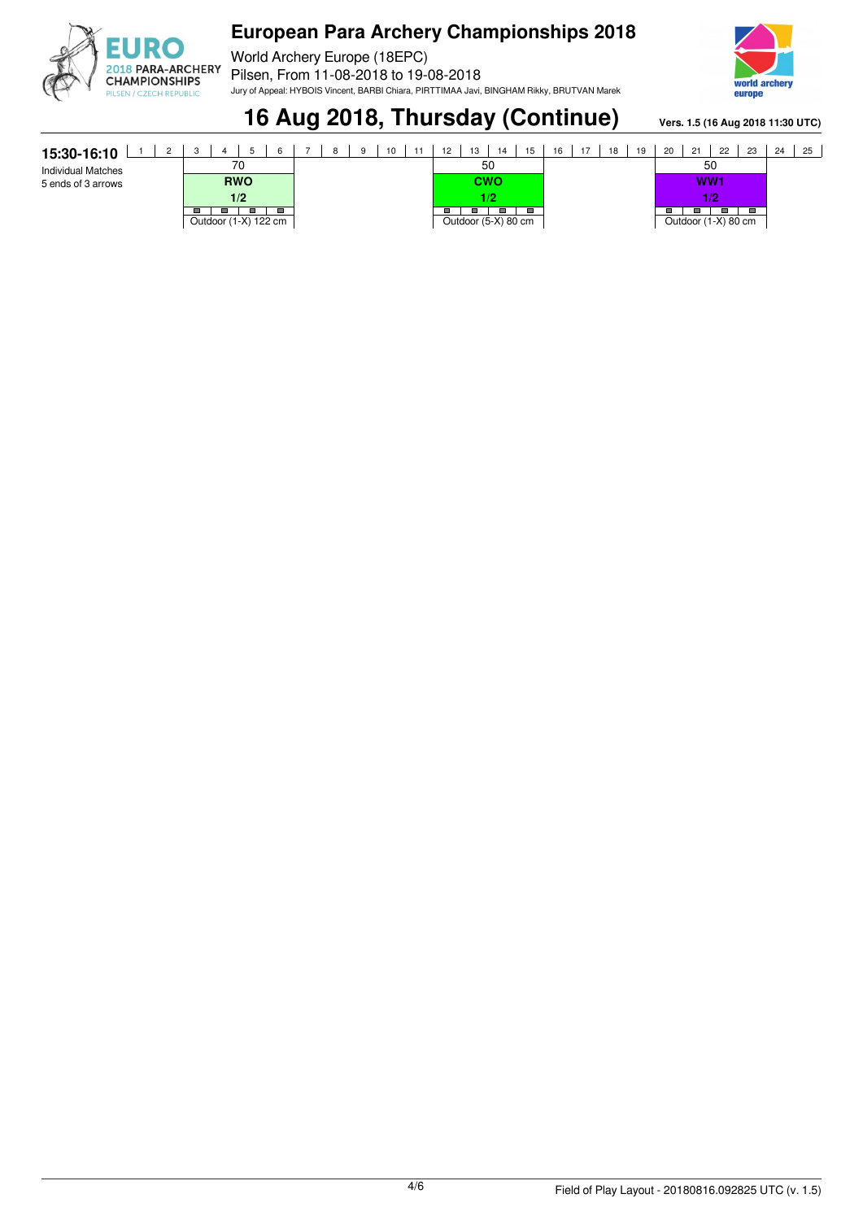

World Archery Europe (18EPC) Pilsen, From 11-08-2018 to 19-08-2018 Jury of Appeal: HYBOIS Vincent, BARBI Chiara, PIRTTIMAA Javi, BINGHAM Rikky, BRUTVAN Marek



**16 Aug 2018, Thursday (Continue)** Vers. 1.5 (16 Aug 2018 11:30 UTC)

| 15:30-16:10               |                      | 6              |  | 8 | 9 | 10 | -11 | 12 | 13  | 14                  | 15 | 16 | 17 | 18 | 19 | 20 | 21              | 22                  | -23 | 24 | 25 |
|---------------------------|----------------------|----------------|--|---|---|----|-----|----|-----|---------------------|----|----|----|----|----|----|-----------------|---------------------|-----|----|----|
| <b>Individual Matches</b> | 70                   |                |  |   |   | 50 |     |    |     |                     |    |    |    | 50 |    |    |                 |                     |     |    |    |
| 5 ends of 3 arrows        | <b>RWO</b>           |                |  |   |   |    |     |    | cwo |                     |    |    |    |    |    |    | WW <sub>1</sub> |                     |     |    |    |
|                           | 1/2                  |                |  |   |   |    |     |    | 1/2 |                     |    |    |    |    |    |    |                 | 1/2                 |     |    |    |
|                           | Outdoor (1-X) 122 cm | $\blacksquare$ |  |   |   |    |     |    |     | Outdoor (5-X) 80 cm |    |    |    |    |    |    | $\blacksquare$  | Outdoor (1-X) 80 cm | -   |    |    |
|                           |                      |                |  |   |   |    |     |    |     |                     |    |    |    |    |    |    |                 |                     |     |    |    |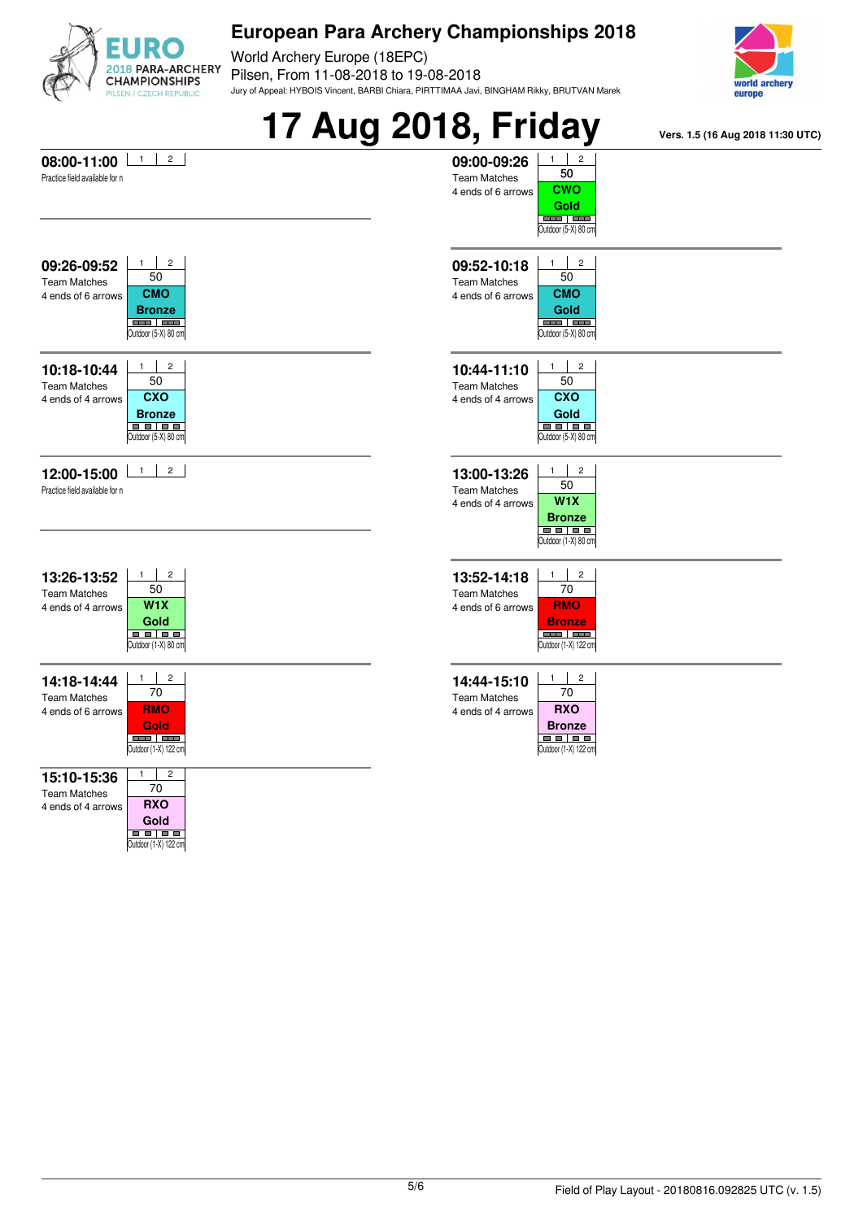

World Archery Europe (18EPC) Pilsen, From 11-08-2018 to 19-08-2018 Jury of Appeal: HYBOIS Vincent, BARBI Chiara, PIRTTIMAA Javi, BINGHAM Rikky, BRUTVAN Marek



|                                                                                                                                                                        | <b>17 Aug 2018, Friday</b>                                                                                                                                                      | Vers. 1.5 (16 Aug 2018 11:30 UTC) |
|------------------------------------------------------------------------------------------------------------------------------------------------------------------------|---------------------------------------------------------------------------------------------------------------------------------------------------------------------------------|-----------------------------------|
| $\mathbf{1}$<br>$\overline{a}$<br>08:00-11:00<br>Practice field available for n                                                                                        | 09:00-09:26<br>2<br>50<br><b>Team Matches</b><br><b>CWO</b><br>4 ends of 6 arrows<br>Gold<br><b>COLORED COLOR</b><br>Outdoor (5-X) 80 cm                                        |                                   |
| $\overline{c}$<br>1<br>09:26-09:52<br>50<br><b>Team Matches</b><br><b>CMO</b><br>4 ends of 6 arrows<br><b>Bronze</b><br><u>and Jam</u><br>Outdoor (5-X) 80 cm          | $\overline{c}$<br>1<br>09:52-10:18<br>50<br><b>Team Matches</b><br><b>CMO</b><br>4 ends of 6 arrows<br>Gold<br><b>BEE BEE</b><br>Outdoor (5-X) 80 cm                            |                                   |
| $\overline{c}$<br>$\mathbf{1}$<br>10:18-10:44<br>50<br><b>Team Matches</b><br><b>CXO</b><br>4 ends of 4 arrows<br><b>Bronze</b><br><b>BB 88</b><br>Outdoor (5-X) 80 cm | $\mathbf{1}$<br>$\overline{c}$<br>10:44-11:10<br>50<br><b>Team Matches</b><br><b>CXO</b><br>4 ends of 4 arrows<br>Gold<br><b>BB 88</b><br>Outdoor (5-X) 80 cm                   |                                   |
| $\mathbf{1}$<br>$2^{\circ}$<br>12:00-15:00<br>Practice field available for n                                                                                           | $\mathbf{1}$<br>$\overline{c}$<br>13:00-13:26<br>50<br><b>Team Matches</b><br>W1X<br>4 ends of 4 arrows<br><b>Bronze</b><br><b>BB BB</b><br>Outdoor (1-X) 80 cm                 |                                   |
| $\overline{c}$<br>$\mathbf{1}$<br>13:26-13:52<br>50<br><b>Team Matches</b><br>W <sub>1</sub> X<br>4 ends of 4 arrows<br>Gold<br><b>.</b><br>Outdoor (1-X) 80 cm        | $\overline{c}$<br>$1 \quad$<br>13:52-14:18<br>70<br><b>Team Matches</b><br><b>RMO</b><br>4 ends of 6 arrows<br><b>Bronze</b><br><b>COLORED CONTRACT</b><br>Outdoor (1-X) 122 cm |                                   |
| $\overline{c}$<br>$\mathbf{1}$<br>14:18-14:44<br>70<br><b>Team Matches</b><br><b>RMO</b><br>4 ends of 6 arrows<br>Gold<br><b>COLORED STATE</b><br>Outdoor (1-X) 122 cm | $\overline{c}$<br>1<br>14:44-15:10<br>70<br><b>Team Matches</b><br><b>RXO</b><br>4 ends of 4 arrows<br><b>Bronze</b><br><b>BB BB</b><br>Outdoor (1-X) 122 cm                    |                                   |
| $\sqrt{2}$<br>$\mathbf{1}$<br>15:10-15:36<br>70<br><b>Team Matches</b><br><b>RXO</b><br>4 ends of 4 arrows<br>Gold<br>88 88<br>Outdoor (1-X) 122 cm                    |                                                                                                                                                                                 |                                   |